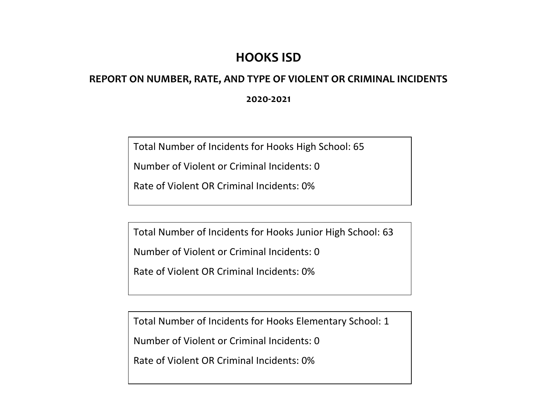## **HOOKS ISD**

## **REPORT ON NUMBER, RATE, AND TYPE OF VIOLENT OR CRIMINAL INCIDENTS**

**2020-2021**

Total Number of Incidents for Hooks High School: 65

Number of Violent or Criminal Incidents: 0

Rate of Violent OR Criminal Incidents: 0%

Total Number of Incidents for Hooks Junior High School: 63

Number of Violent or Criminal Incidents: 0

Rate of Violent OR Criminal Incidents: 0%

Total Number of Incidents for Hooks Elementary School: 1

Number of Violent or Criminal Incidents: 0

Rate of Violent OR Criminal Incidents: 0%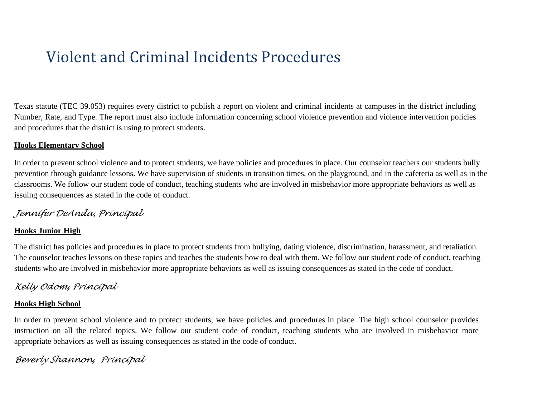# Violent and Criminal Incidents Procedures

Texas statute (TEC 39.053) requires every district to publish a report on violent and criminal incidents at campuses in the district including Number, Rate, and Type. The report must also include information concerning school violence prevention and violence intervention policies and procedures that the district is using to protect students.

### **Hooks Elementary School**

In order to prevent school violence and to protect students, we have policies and procedures in place. Our counselor teachers our students bully prevention through guidance lessons. We have supervision of students in transition times, on the playground, and in the cafeteria as well as in the classrooms. We follow our student code of conduct, teaching students who are involved in misbehavior more appropriate behaviors as well as issuing consequences as stated in the code of conduct.

## *Jennifer DeAnda, Principal*

## **Hooks Junior High**

The district has policies and procedures in place to protect students from bullying, dating violence, discrimination, harassment, and retaliation. The counselor teaches lessons on these topics and teaches the students how to deal with them. We follow our student code of conduct, teaching students who are involved in misbehavior more appropriate behaviors as well as issuing consequences as stated in the code of conduct.

## *Kelly Odom, Principal*

## **Hooks High School**

In order to prevent school violence and to protect students, we have policies and procedures in place. The high school counselor provides instruction on all the related topics. We follow our student code of conduct, teaching students who are involved in misbehavior more appropriate behaviors as well as issuing consequences as stated in the code of conduct.

## *Beverly Shannon, Principal*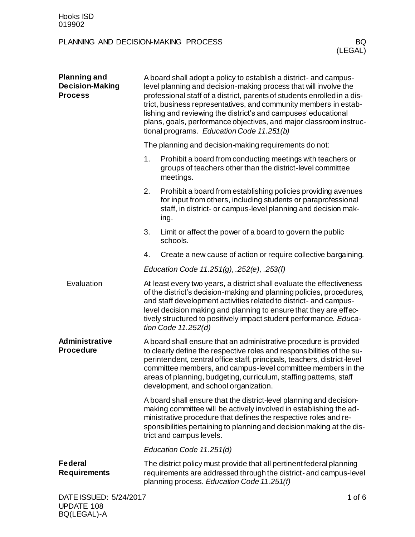| <b>Planning and</b><br><b>Decision-Making</b><br><b>Process</b> | A board shall adopt a policy to establish a district- and campus-<br>level planning and decision-making process that will involve the<br>professional staff of a district, parents of students enrolled in a dis-<br>trict, business representatives, and community members in estab-<br>lishing and reviewing the district's and campuses' educational<br>plans, goals, performance objectives, and major classroom instruc-<br>tional programs. Education Code 11.251(b) |                                                                                                                                                                                                                                                                                                                                                                                                        |  |  |
|-----------------------------------------------------------------|----------------------------------------------------------------------------------------------------------------------------------------------------------------------------------------------------------------------------------------------------------------------------------------------------------------------------------------------------------------------------------------------------------------------------------------------------------------------------|--------------------------------------------------------------------------------------------------------------------------------------------------------------------------------------------------------------------------------------------------------------------------------------------------------------------------------------------------------------------------------------------------------|--|--|
|                                                                 |                                                                                                                                                                                                                                                                                                                                                                                                                                                                            | The planning and decision-making requirements do not:                                                                                                                                                                                                                                                                                                                                                  |  |  |
|                                                                 | 1.                                                                                                                                                                                                                                                                                                                                                                                                                                                                         | Prohibit a board from conducting meetings with teachers or<br>groups of teachers other than the district-level committee<br>meetings.                                                                                                                                                                                                                                                                  |  |  |
|                                                                 | 2.                                                                                                                                                                                                                                                                                                                                                                                                                                                                         | Prohibit a board from establishing policies providing avenues<br>for input from others, including students or paraprofessional<br>staff, in district- or campus-level planning and decision mak-<br>ing.                                                                                                                                                                                               |  |  |
|                                                                 | 3.                                                                                                                                                                                                                                                                                                                                                                                                                                                                         | Limit or affect the power of a board to govern the public<br>schools.                                                                                                                                                                                                                                                                                                                                  |  |  |
|                                                                 | 4.                                                                                                                                                                                                                                                                                                                                                                                                                                                                         | Create a new cause of action or require collective bargaining.                                                                                                                                                                                                                                                                                                                                         |  |  |
|                                                                 |                                                                                                                                                                                                                                                                                                                                                                                                                                                                            | Education Code 11.251(g), .252(e), .253(f)                                                                                                                                                                                                                                                                                                                                                             |  |  |
| Evaluation                                                      |                                                                                                                                                                                                                                                                                                                                                                                                                                                                            | At least every two years, a district shall evaluate the effectiveness<br>of the district's decision-making and planning policies, procedures,<br>and staff development activities related to district- and campus-<br>level decision making and planning to ensure that they are effec-<br>tively structured to positively impact student performance. Educa-<br>tion Code $11.252(d)$                 |  |  |
| Administrative<br><b>Procedure</b>                              |                                                                                                                                                                                                                                                                                                                                                                                                                                                                            | A board shall ensure that an administrative procedure is provided<br>to clearly define the respective roles and responsibilities of the su-<br>perintendent, central office staff, principals, teachers, district-level<br>committee members, and campus-level committee members in the<br>areas of planning, budgeting, curriculum, staffing patterns, staff<br>development, and school organization. |  |  |
|                                                                 |                                                                                                                                                                                                                                                                                                                                                                                                                                                                            | A board shall ensure that the district-level planning and decision-<br>making committee will be actively involved in establishing the ad-<br>ministrative procedure that defines the respective roles and re-<br>sponsibilities pertaining to planning and decision making at the dis-<br>trict and campus levels.                                                                                     |  |  |
|                                                                 |                                                                                                                                                                                                                                                                                                                                                                                                                                                                            | Education Code 11.251(d)                                                                                                                                                                                                                                                                                                                                                                               |  |  |
| <b>Federal</b><br><b>Requirements</b>                           |                                                                                                                                                                                                                                                                                                                                                                                                                                                                            | The district policy must provide that all pertinent federal planning<br>requirements are addressed through the district- and campus-level<br>planning process. Education Code 11.251(f)                                                                                                                                                                                                                |  |  |
| DATE ISSUED: 5/24/2017<br>LIDDATE 108                           |                                                                                                                                                                                                                                                                                                                                                                                                                                                                            | 1 of $6$                                                                                                                                                                                                                                                                                                                                                                                               |  |  |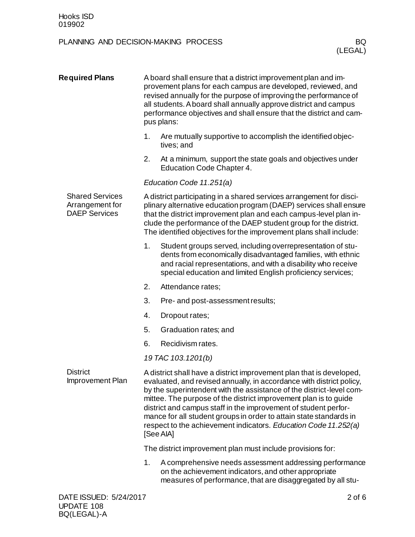| <b>Required Plans</b>                                             | A board shall ensure that a district improvement plan and im-<br>provement plans for each campus are developed, reviewed, and<br>revised annually for the purpose of improving the performance of<br>all students. Aboard shall annually approve district and campus<br>performance objectives and shall ensure that the district and cam-<br>pus plans: |                                                                                                                                                                                                                                                                                                                                                                                                                                                                                                                   |            |  |
|-------------------------------------------------------------------|----------------------------------------------------------------------------------------------------------------------------------------------------------------------------------------------------------------------------------------------------------------------------------------------------------------------------------------------------------|-------------------------------------------------------------------------------------------------------------------------------------------------------------------------------------------------------------------------------------------------------------------------------------------------------------------------------------------------------------------------------------------------------------------------------------------------------------------------------------------------------------------|------------|--|
|                                                                   | 1.                                                                                                                                                                                                                                                                                                                                                       | Are mutually supportive to accomplish the identified objec-<br>tives; and                                                                                                                                                                                                                                                                                                                                                                                                                                         |            |  |
|                                                                   | 2.                                                                                                                                                                                                                                                                                                                                                       | At a minimum, support the state goals and objectives under<br>Education Code Chapter 4.                                                                                                                                                                                                                                                                                                                                                                                                                           |            |  |
|                                                                   |                                                                                                                                                                                                                                                                                                                                                          | Education Code 11.251(a)                                                                                                                                                                                                                                                                                                                                                                                                                                                                                          |            |  |
| <b>Shared Services</b><br>Arrangement for<br><b>DAEP Services</b> |                                                                                                                                                                                                                                                                                                                                                          | A district participating in a shared services arrangement for disci-<br>plinary alternative education program (DAEP) services shall ensure<br>that the district improvement plan and each campus-level plan in-<br>clude the performance of the DAEP student group for the district.<br>The identified objectives for the improvement plans shall include:                                                                                                                                                        |            |  |
|                                                                   | 1.                                                                                                                                                                                                                                                                                                                                                       | Student groups served, including overrepresentation of stu-<br>dents from economically disadvantaged families, with ethnic<br>and racial representations, and with a disability who receive<br>special education and limited English proficiency services;                                                                                                                                                                                                                                                        |            |  |
|                                                                   | 2.                                                                                                                                                                                                                                                                                                                                                       | Attendance rates;                                                                                                                                                                                                                                                                                                                                                                                                                                                                                                 |            |  |
|                                                                   | 3.                                                                                                                                                                                                                                                                                                                                                       | Pre- and post-assessment results;                                                                                                                                                                                                                                                                                                                                                                                                                                                                                 |            |  |
|                                                                   | 4.                                                                                                                                                                                                                                                                                                                                                       | Dropout rates;                                                                                                                                                                                                                                                                                                                                                                                                                                                                                                    |            |  |
|                                                                   | 5.                                                                                                                                                                                                                                                                                                                                                       | Graduation rates; and                                                                                                                                                                                                                                                                                                                                                                                                                                                                                             |            |  |
|                                                                   | 6.                                                                                                                                                                                                                                                                                                                                                       | Recidivism rates.                                                                                                                                                                                                                                                                                                                                                                                                                                                                                                 |            |  |
|                                                                   |                                                                                                                                                                                                                                                                                                                                                          | 19 TAC 103.1201(b)                                                                                                                                                                                                                                                                                                                                                                                                                                                                                                |            |  |
| <b>District</b><br>Improvement Plan                               |                                                                                                                                                                                                                                                                                                                                                          | A district shall have a district improvement plan that is developed,<br>evaluated, and revised annually, in accordance with district policy,<br>by the superintendent with the assistance of the district-level com-<br>mittee. The purpose of the district improvement plan is to guide<br>district and campus staff in the improvement of student perfor-<br>mance for all student groups in order to attain state standards in<br>respect to the achievement indicators. Education Code 11.252(a)<br>[See AIA] |            |  |
|                                                                   |                                                                                                                                                                                                                                                                                                                                                          | The district improvement plan must include provisions for:                                                                                                                                                                                                                                                                                                                                                                                                                                                        |            |  |
|                                                                   | 1.                                                                                                                                                                                                                                                                                                                                                       | A comprehensive needs assessment addressing performance<br>on the achievement indicators, and other appropriate<br>measures of performance, that are disaggregated by all stu-                                                                                                                                                                                                                                                                                                                                    |            |  |
| DATE ISSUED: 5/24/2017                                            |                                                                                                                                                                                                                                                                                                                                                          |                                                                                                                                                                                                                                                                                                                                                                                                                                                                                                                   | $2$ of $6$ |  |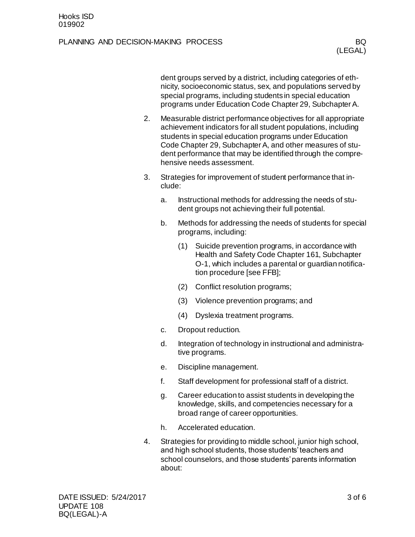dent groups served by a district, including categories of ethnicity, socioeconomic status, sex, and populations served by special programs, including students in special education programs under Education Code Chapter 29, Subchapter A.

- 2. Measurable district performance objectives for all appropriate achievement indicators for all student populations, including students in special education programs under Education Code Chapter 29, Subchapter A, and other measures of student performance that may be identified through the comprehensive needs assessment.
- 3. Strategies for improvement of student performance that include:
	- a. Instructional methods for addressing the needs of student groups not achieving their full potential.
	- b. Methods for addressing the needs of students for special programs, including:
		- (1) Suicide prevention programs, in accordance with Health and Safety Code Chapter 161, Subchapter O-1, which includes a parental or guardian notification procedure [see FFB];
		- (2) Conflict resolution programs;
		- (3) Violence prevention programs; and
		- (4) Dyslexia treatment programs.
	- c. Dropout reduction.
	- d. Integration of technology in instructional and administrative programs.
	- e. Discipline management.
	- f. Staff development for professional staff of a district.
	- g. Career education to assist students in developing the knowledge, skills, and competencies necessary for a broad range of career opportunities.
	- h. Accelerated education.
- 4. Strategies for providing to middle school, junior high school, and high school students, those students' teachers and school counselors, and those students' parents information about: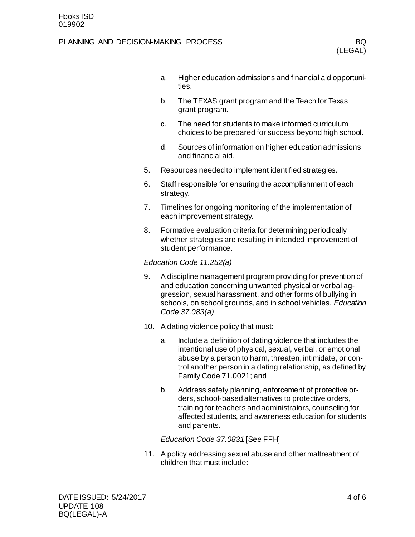- a. Higher education admissions and financial aid opportunities.
- b. The TEXAS grant program and the Teach for Texas grant program.
- c. The need for students to make informed curriculum choices to be prepared for success beyond high school.
- d. Sources of information on higher education admissions and financial aid.
- 5. Resources needed to implement identified strategies.
- 6. Staff responsible for ensuring the accomplishment of each strategy.
- 7. Timelines for ongoing monitoring of the implementation of each improvement strategy.
- 8. Formative evaluation criteria for determining periodically whether strategies are resulting in intended improvement of student performance.

#### *Education Code 11.252(a)*

- 9. A discipline management program providing for prevention of and education concerning unwanted physical or verbal aggression, sexual harassment, and other forms of bullying in schools, on school grounds, and in school vehicles. *Education Code 37.083(a)*
- 10. A dating violence policy that must:
	- a. Include a definition of dating violence that includes the intentional use of physical, sexual, verbal, or emotional abuse by a person to harm, threaten, intimidate, or control another person in a dating relationship, as defined by Family Code 71.0021; and
	- b. Address safety planning, enforcement of protective orders, school-based alternatives to protective orders, training for teachers and administrators, counseling for affected students, and awareness education for students and parents.

#### *Education Code 37.0831* [See FFH]

11. A policy addressing sexual abuse and other maltreatment of children that must include: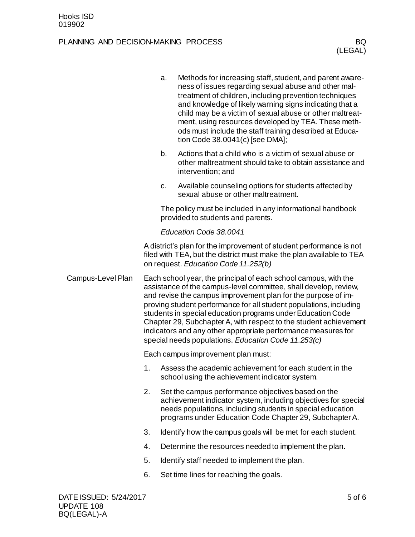|                   |                                    | a. | Methods for increasing staff, student, and parent aware-<br>ness of issues regarding sexual abuse and other mal-<br>treatment of children, including prevention techniques<br>and knowledge of likely warning signs indicating that a<br>child may be a victim of sexual abuse or other maltreat-<br>ment, using resources developed by TEA. These meth-<br>ods must include the staff training described at Educa-<br>tion Code 38.0041(c) [see DMA];                                                                                 |  |
|-------------------|------------------------------------|----|----------------------------------------------------------------------------------------------------------------------------------------------------------------------------------------------------------------------------------------------------------------------------------------------------------------------------------------------------------------------------------------------------------------------------------------------------------------------------------------------------------------------------------------|--|
|                   |                                    | b. | Actions that a child who is a victim of sexual abuse or<br>other maltreatment should take to obtain assistance and<br>intervention; and                                                                                                                                                                                                                                                                                                                                                                                                |  |
|                   |                                    | c. | Available counseling options for students affected by<br>sexual abuse or other maltreatment.                                                                                                                                                                                                                                                                                                                                                                                                                                           |  |
|                   |                                    |    | The policy must be included in any informational handbook<br>provided to students and parents.                                                                                                                                                                                                                                                                                                                                                                                                                                         |  |
|                   |                                    |    | Education Code 38.0041                                                                                                                                                                                                                                                                                                                                                                                                                                                                                                                 |  |
|                   |                                    |    | A district's plan for the improvement of student performance is not<br>filed with TEA, but the district must make the plan available to TEA<br>on request. Education Code 11.252(b)                                                                                                                                                                                                                                                                                                                                                    |  |
| Campus-Level Plan |                                    |    | Each school year, the principal of each school campus, with the<br>assistance of the campus-level committee, shall develop, review,<br>and revise the campus improvement plan for the purpose of im-<br>proving student performance for all student populations, including<br>students in special education programs under Education Code<br>Chapter 29, Subchapter A, with respect to the student achievement<br>indicators and any other appropriate performance measures for<br>special needs populations. Education Code 11.253(c) |  |
|                   | Each campus improvement plan must: |    |                                                                                                                                                                                                                                                                                                                                                                                                                                                                                                                                        |  |
|                   | 1.                                 |    | Assess the academic achievement for each student in the<br>school using the achievement indicator system.                                                                                                                                                                                                                                                                                                                                                                                                                              |  |
|                   | 2.                                 |    | Set the campus performance objectives based on the<br>achievement indicator system, including objectives for special<br>needs populations, including students in special education<br>programs under Education Code Chapter 29, Subchapter A.                                                                                                                                                                                                                                                                                          |  |
|                   | 3.                                 |    | Identify how the campus goals will be met for each student.                                                                                                                                                                                                                                                                                                                                                                                                                                                                            |  |
|                   | 4.                                 |    | Determine the resources needed to implement the plan.                                                                                                                                                                                                                                                                                                                                                                                                                                                                                  |  |
|                   | 5.                                 |    | Identify staff needed to implement the plan.                                                                                                                                                                                                                                                                                                                                                                                                                                                                                           |  |
|                   | 6.                                 |    | Set time lines for reaching the goals.                                                                                                                                                                                                                                                                                                                                                                                                                                                                                                 |  |
|                   |                                    |    |                                                                                                                                                                                                                                                                                                                                                                                                                                                                                                                                        |  |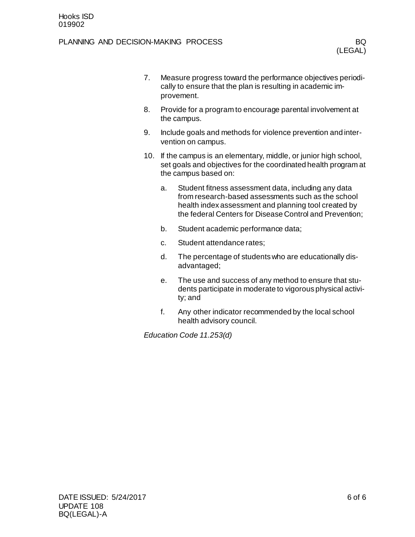| 7.  | Measure progress toward the performance objectives periodi-<br>cally to ensure that the plan is resulting in academic im-<br>provement. |                                                                                                                                                                                                                              |  |  |  |  |
|-----|-----------------------------------------------------------------------------------------------------------------------------------------|------------------------------------------------------------------------------------------------------------------------------------------------------------------------------------------------------------------------------|--|--|--|--|
| 8.  |                                                                                                                                         | Provide for a program to encourage parental involvement at<br>the campus.                                                                                                                                                    |  |  |  |  |
| 9.  | Include goals and methods for violence prevention and inter-<br>vention on campus.                                                      |                                                                                                                                                                                                                              |  |  |  |  |
| 10. |                                                                                                                                         | If the campus is an elementary, middle, or junior high school,<br>set goals and objectives for the coordinated health program at<br>the campus based on:                                                                     |  |  |  |  |
|     | a.                                                                                                                                      | Student fitness assessment data, including any data<br>from research-based assessments such as the school<br>health index assessment and planning tool created by<br>the federal Centers for Disease Control and Prevention; |  |  |  |  |
|     | b.                                                                                                                                      | Student academic performance data;                                                                                                                                                                                           |  |  |  |  |
|     | C <sub>1</sub>                                                                                                                          | Student attendance rates;                                                                                                                                                                                                    |  |  |  |  |
|     | d.                                                                                                                                      | The percentage of students who are educationally dis-<br>advantaged;                                                                                                                                                         |  |  |  |  |
|     | е.                                                                                                                                      | The use and success of any method to ensure that stu-<br>dents participate in moderate to vigorous physical activi-<br>ty; and                                                                                               |  |  |  |  |

f. Any other indicator recommended by the local school health advisory council.

*Education Code 11.253(d)*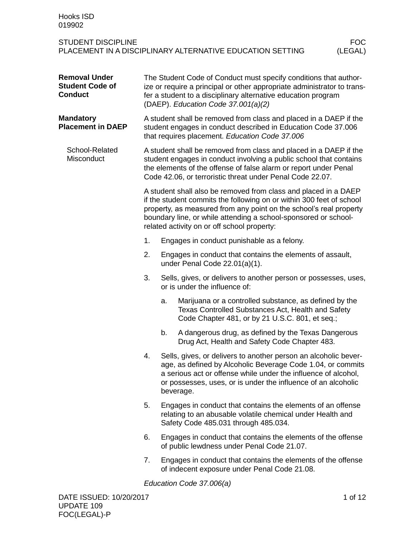| Hooks ISD<br>019902                                              |                                                                                                                                                                                                                                                     |    |                                                                                                                                                                                                                                                                                                                                 |                       |
|------------------------------------------------------------------|-----------------------------------------------------------------------------------------------------------------------------------------------------------------------------------------------------------------------------------------------------|----|---------------------------------------------------------------------------------------------------------------------------------------------------------------------------------------------------------------------------------------------------------------------------------------------------------------------------------|-----------------------|
| <b>STUDENT DISCIPLINE</b>                                        |                                                                                                                                                                                                                                                     |    | PLACEMENT IN A DISCIPLINARY ALTERNATIVE EDUCATION SETTING                                                                                                                                                                                                                                                                       | <b>FOC</b><br>(LEGAL) |
| <b>Removal Under</b><br><b>Student Code of</b><br><b>Conduct</b> | The Student Code of Conduct must specify conditions that author-<br>ize or require a principal or other appropriate administrator to trans-<br>fer a student to a disciplinary alternative education program<br>(DAEP). Education Code 37.001(a)(2) |    |                                                                                                                                                                                                                                                                                                                                 |                       |
| <b>Mandatory</b><br><b>Placement in DAEP</b>                     |                                                                                                                                                                                                                                                     |    | A student shall be removed from class and placed in a DAEP if the<br>student engages in conduct described in Education Code 37.006<br>that requires placement. Education Code 37.006                                                                                                                                            |                       |
| School-Related<br>Misconduct                                     |                                                                                                                                                                                                                                                     |    | A student shall be removed from class and placed in a DAEP if the<br>student engages in conduct involving a public school that contains<br>the elements of the offense of false alarm or report under Penal<br>Code 42.06, or terroristic threat under Penal Code 22.07.                                                        |                       |
|                                                                  |                                                                                                                                                                                                                                                     |    | A student shall also be removed from class and placed in a DAEP<br>if the student commits the following on or within 300 feet of school<br>property, as measured from any point on the school's real property<br>boundary line, or while attending a school-sponsored or school-<br>related activity on or off school property: |                       |
|                                                                  | 1.                                                                                                                                                                                                                                                  |    | Engages in conduct punishable as a felony.                                                                                                                                                                                                                                                                                      |                       |
|                                                                  | 2.                                                                                                                                                                                                                                                  |    | Engages in conduct that contains the elements of assault,<br>under Penal Code 22.01(a)(1).                                                                                                                                                                                                                                      |                       |
|                                                                  | 3.                                                                                                                                                                                                                                                  |    | Sells, gives, or delivers to another person or possesses, uses,<br>or is under the influence of:                                                                                                                                                                                                                                |                       |
|                                                                  |                                                                                                                                                                                                                                                     | a. | Marijuana or a controlled substance, as defined by the<br>Texas Controlled Substances Act, Health and Safety<br>Code Chapter 481, or by 21 U.S.C. 801, et seq.;                                                                                                                                                                 |                       |
|                                                                  |                                                                                                                                                                                                                                                     | b. | A dangerous drug, as defined by the Texas Dangerous<br>Drug Act, Health and Safety Code Chapter 483.                                                                                                                                                                                                                            |                       |
|                                                                  | 4.                                                                                                                                                                                                                                                  |    | Sells, gives, or delivers to another person an alcoholic bever-<br>age, as defined by Alcoholic Beverage Code 1.04, or commits<br>a serious act or offense while under the influence of alcohol,<br>or possesses, uses, or is under the influence of an alcoholic<br>beverage.                                                  |                       |
|                                                                  | 5.                                                                                                                                                                                                                                                  |    | Engages in conduct that contains the elements of an offense<br>relating to an abusable volatile chemical under Health and<br>Safety Code 485.031 through 485.034.                                                                                                                                                               |                       |
|                                                                  | 6.                                                                                                                                                                                                                                                  |    | Engages in conduct that contains the elements of the offense<br>of public lewdness under Penal Code 21.07.                                                                                                                                                                                                                      |                       |
|                                                                  | 7.                                                                                                                                                                                                                                                  |    | Engages in conduct that contains the elements of the offense<br>of indecent exposure under Penal Code 21.08.                                                                                                                                                                                                                    |                       |

*Education Code 37.006(a)*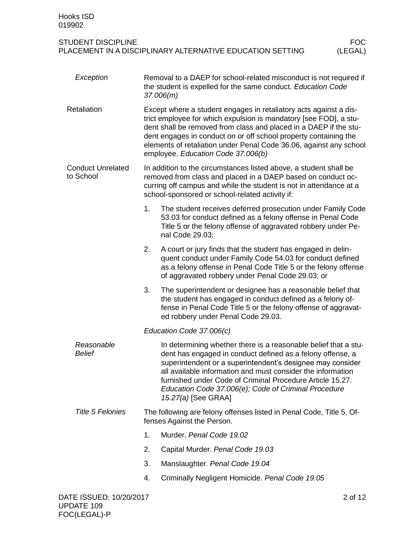| Exception                             |    | Removal to a DAEP for school-related misconduct is not required if<br>the student is expelled for the same conduct. Education Code<br>37.006(m)                                                                                                                                                                                                                                                        |
|---------------------------------------|----|--------------------------------------------------------------------------------------------------------------------------------------------------------------------------------------------------------------------------------------------------------------------------------------------------------------------------------------------------------------------------------------------------------|
| Retaliation                           |    | Except where a student engages in retaliatory acts against a dis-<br>trict employee for which expulsion is mandatory [see FOD], a stu-<br>dent shall be removed from class and placed in a DAEP if the stu-<br>dent engages in conduct on or off school property containing the<br>elements of retaliation under Penal Code 36.06, against any school<br>employee. Education Code 37.006(b)            |
| <b>Conduct Unrelated</b><br>to School |    | In addition to the circumstances listed above, a student shall be<br>removed from class and placed in a DAEP based on conduct oc-<br>curring off campus and while the student is not in attendance at a<br>school-sponsored or school-related activity if:                                                                                                                                             |
|                                       | 1. | The student receives deferred prosecution under Family Code<br>53.03 for conduct defined as a felony offense in Penal Code<br>Title 5 or the felony offense of aggravated robbery under Pe-<br>nal Code 29.03;                                                                                                                                                                                         |
|                                       | 2. | A court or jury finds that the student has engaged in delin-<br>quent conduct under Family Code 54.03 for conduct defined<br>as a felony offense in Penal Code Title 5 or the felony offense<br>of aggravated robbery under Penal Code 29.03; or                                                                                                                                                       |
|                                       | 3. | The superintendent or designee has a reasonable belief that<br>the student has engaged in conduct defined as a felony of-<br>fense in Penal Code Title 5 or the felony offense of aggravat-<br>ed robbery under Penal Code 29.03.                                                                                                                                                                      |
|                                       |    | Education Code 37.006(c)                                                                                                                                                                                                                                                                                                                                                                               |
| Reasonable<br><b>Belief</b>           |    | In determining whether there is a reasonable belief that a stu-<br>dent has engaged in conduct defined as a felony offense, a<br>superintendent or a superintendent's designee may consider<br>all available information and must consider the information<br>furnished under Code of Criminal Procedure Article 15.27.<br>Education Code 37.006(e); Code of Criminal Procedure<br>15.27(a) [See GRAA] |
| <b>Title 5 Felonies</b>               |    | The following are felony offenses listed in Penal Code, Title 5, Of-<br>fenses Against the Person.                                                                                                                                                                                                                                                                                                     |
|                                       | 1. | Murder. Penal Code 19.02                                                                                                                                                                                                                                                                                                                                                                               |
|                                       | 2. | Capital Murder. Penal Code 19.03                                                                                                                                                                                                                                                                                                                                                                       |
|                                       | 3. | Manslaughter. Penal Code 19.04                                                                                                                                                                                                                                                                                                                                                                         |
|                                       | 4. | Criminally Negligent Homicide. Penal Code 19.05                                                                                                                                                                                                                                                                                                                                                        |
| DATE ISSUED: 10/20/2017               |    | 2 of 12                                                                                                                                                                                                                                                                                                                                                                                                |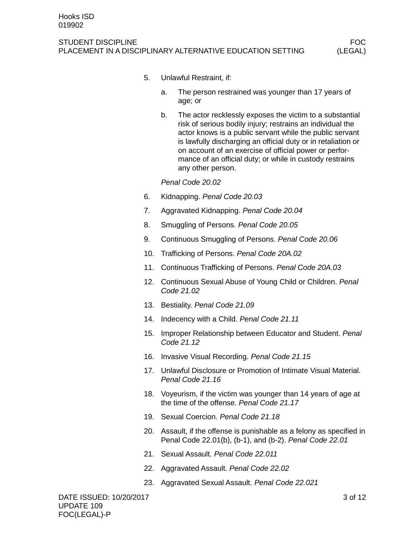#### STUDENT DISCIPLINE FOCUS IN A 1999 OF THE STUDENT DISCIPLINE PLACEMENT IN A DISCIPLINARY ALTERNATIVE EDUCATION SETTING (LEGAL)

- 5. Unlawful Restraint, if:
	- a. The person restrained was younger than 17 years of age; or
	- b. The actor recklessly exposes the victim to a substantial risk of serious bodily injury; restrains an individual the actor knows is a public servant while the public servant is lawfully discharging an official duty or in retaliation or on account of an exercise of official power or performance of an official duty; or while in custody restrains any other person.

*Penal Code 20.02*

- 6. Kidnapping. *Penal Code 20.03*
- 7. Aggravated Kidnapping. *Penal Code 20.04*
- 8. Smuggling of Persons. *Penal Code 20.05*
- 9. Continuous Smuggling of Persons. *Penal Code 20.06*
- 10. Trafficking of Persons. *Penal Code 20A.02*
- 11. Continuous Trafficking of Persons. *Penal Code 20A.03*
- 12. Continuous Sexual Abuse of Young Child or Children. *Penal Code 21.02*
- 13. Bestiality. *Penal Code 21.09*
- 14. Indecency with a Child. *Penal Code 21.11*
- 15. Improper Relationship between Educator and Student. *Penal Code 21.12*
- 16. Invasive Visual Recording. *Penal Code 21.15*
- 17. Unlawful Disclosure or Promotion of Intimate Visual Material. *Penal Code 21.16*
- 18. Voyeurism, if the victim was younger than 14 years of age at the time of the offense. *Penal Code 21.17*
- 19. Sexual Coercion. *Penal Code 21.18*
- 20. Assault, if the offense is punishable as a felony as specified in Penal Code 22.01(b), (b-1), and (b-2). *Penal Code 22.01*
- 21. Sexual Assault. *Penal Code 22.011*
- 22. Aggravated Assault. *Penal Code 22.02*
- 23. Aggravated Sexual Assault. *Penal Code 22.021*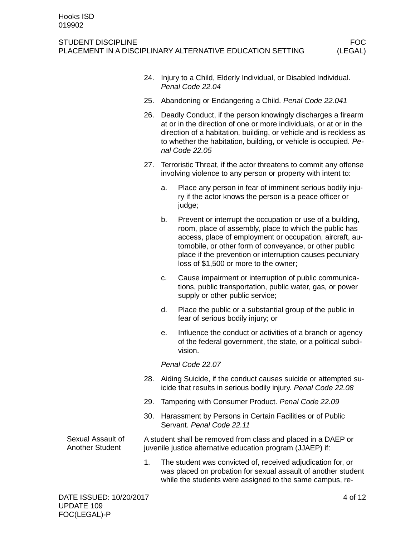|                                      |                |    | 24. Injury to a Child, Elderly Individual, or Disabled Individual.<br>Penal Code 22.04                                                                                                                                                                                                                                                         |
|--------------------------------------|----------------|----|------------------------------------------------------------------------------------------------------------------------------------------------------------------------------------------------------------------------------------------------------------------------------------------------------------------------------------------------|
|                                      | 25.            |    | Abandoning or Endangering a Child. Penal Code 22.041                                                                                                                                                                                                                                                                                           |
|                                      |                |    | 26. Deadly Conduct, if the person knowingly discharges a firearm<br>at or in the direction of one or more individuals, or at or in the<br>direction of a habitation, building, or vehicle and is reckless as<br>to whether the habitation, building, or vehicle is occupied. Pe-<br>nal Code 22.05                                             |
|                                      |                |    | 27. Terroristic Threat, if the actor threatens to commit any offense<br>involving violence to any person or property with intent to:                                                                                                                                                                                                           |
|                                      |                | a. | Place any person in fear of imminent serious bodily inju-<br>ry if the actor knows the person is a peace officer or<br>judge;                                                                                                                                                                                                                  |
|                                      |                | b. | Prevent or interrupt the occupation or use of a building,<br>room, place of assembly, place to which the public has<br>access, place of employment or occupation, aircraft, au-<br>tomobile, or other form of conveyance, or other public<br>place if the prevention or interruption causes pecuniary<br>loss of \$1,500 or more to the owner; |
|                                      |                | c. | Cause impairment or interruption of public communica-<br>tions, public transportation, public water, gas, or power<br>supply or other public service;                                                                                                                                                                                          |
|                                      |                | d. | Place the public or a substantial group of the public in<br>fear of serious bodily injury; or                                                                                                                                                                                                                                                  |
|                                      |                | е. | Influence the conduct or activities of a branch or agency<br>of the federal government, the state, or a political subdi-<br>vision.                                                                                                                                                                                                            |
|                                      |                |    | Penal Code 22.07                                                                                                                                                                                                                                                                                                                               |
|                                      |                |    | 28. Aiding Suicide, if the conduct causes suicide or attempted su-<br>icide that results in serious bodily injury. Penal Code 22.08                                                                                                                                                                                                            |
|                                      | 29.            |    | Tampering with Consumer Product. Penal Code 22.09                                                                                                                                                                                                                                                                                              |
|                                      | 30.            |    | Harassment by Persons in Certain Facilities or of Public<br>Servant. Penal Code 22.11                                                                                                                                                                                                                                                          |
| Sexual Assault of<br>Another Student |                |    | A student shall be removed from class and placed in a DAEP or<br>juvenile justice alternative education program (JJAEP) if:                                                                                                                                                                                                                    |
|                                      | 1 <sub>1</sub> |    | The student was convicted of, received adjudication for, or<br>was placed on probation for sexual assault of another student<br>while the students were assigned to the same campus, re-                                                                                                                                                       |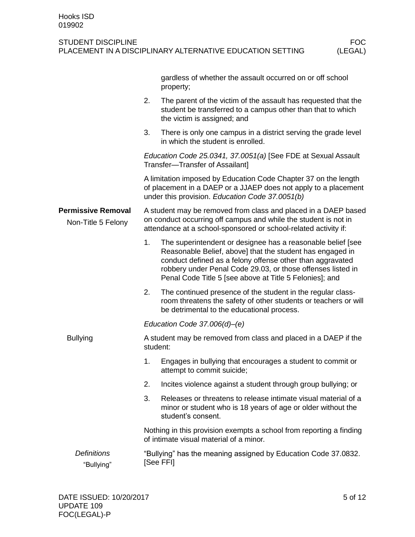|                                                 |                                                                                                                                                                                                      | gardless of whether the assault occurred on or off school<br>property;                                                                                                                                                                                                                                          |  |  |  |
|-------------------------------------------------|------------------------------------------------------------------------------------------------------------------------------------------------------------------------------------------------------|-----------------------------------------------------------------------------------------------------------------------------------------------------------------------------------------------------------------------------------------------------------------------------------------------------------------|--|--|--|
|                                                 | 2.                                                                                                                                                                                                   | The parent of the victim of the assault has requested that the<br>student be transferred to a campus other than that to which<br>the victim is assigned; and                                                                                                                                                    |  |  |  |
|                                                 | 3.                                                                                                                                                                                                   | There is only one campus in a district serving the grade level<br>in which the student is enrolled.                                                                                                                                                                                                             |  |  |  |
|                                                 |                                                                                                                                                                                                      | Education Code 25.0341, 37.0051(a) [See FDE at Sexual Assault<br>Transfer-Transfer of Assailant]                                                                                                                                                                                                                |  |  |  |
|                                                 |                                                                                                                                                                                                      | A limitation imposed by Education Code Chapter 37 on the length<br>of placement in a DAEP or a JJAEP does not apply to a placement<br>under this provision. Education Code 37.0051(b)                                                                                                                           |  |  |  |
| <b>Permissive Removal</b><br>Non-Title 5 Felony | A student may be removed from class and placed in a DAEP based<br>on conduct occurring off campus and while the student is not in<br>attendance at a school-sponsored or school-related activity if: |                                                                                                                                                                                                                                                                                                                 |  |  |  |
|                                                 | 1.                                                                                                                                                                                                   | The superintendent or designee has a reasonable belief [see<br>Reasonable Belief, above] that the student has engaged in<br>conduct defined as a felony offense other than aggravated<br>robbery under Penal Code 29.03, or those offenses listed in<br>Penal Code Title 5 [see above at Title 5 Felonies]; and |  |  |  |
|                                                 | 2.                                                                                                                                                                                                   | The continued presence of the student in the regular class-<br>room threatens the safety of other students or teachers or will<br>be detrimental to the educational process.                                                                                                                                    |  |  |  |
|                                                 |                                                                                                                                                                                                      | Education Code $37.006(d)$ – $(e)$                                                                                                                                                                                                                                                                              |  |  |  |
| <b>Bullying</b>                                 |                                                                                                                                                                                                      | A student may be removed from class and placed in a DAEP if the<br>student:                                                                                                                                                                                                                                     |  |  |  |
|                                                 | 1.                                                                                                                                                                                                   | Engages in bullying that encourages a student to commit or<br>attempt to commit suicide;                                                                                                                                                                                                                        |  |  |  |
|                                                 | 2.                                                                                                                                                                                                   | Incites violence against a student through group bullying; or                                                                                                                                                                                                                                                   |  |  |  |
|                                                 | 3.                                                                                                                                                                                                   | Releases or threatens to release intimate visual material of a<br>minor or student who is 18 years of age or older without the<br>student's consent.                                                                                                                                                            |  |  |  |
|                                                 |                                                                                                                                                                                                      | Nothing in this provision exempts a school from reporting a finding<br>of intimate visual material of a minor.                                                                                                                                                                                                  |  |  |  |
| <b>Definitions</b><br>"Bullying"                |                                                                                                                                                                                                      | "Bullying" has the meaning assigned by Education Code 37.0832.<br>[See FFI]                                                                                                                                                                                                                                     |  |  |  |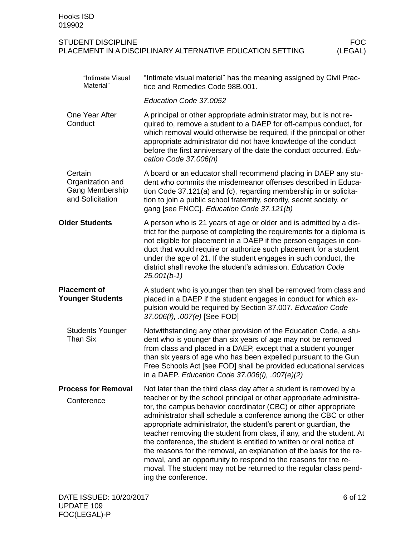#### STUDENT DISCIPLINE<br>PLACEMENT IN A DISCIPLINARY ALTERNATIVE EDUCATION SETTING (LEGAL) PLACEMENT IN A DISCIPLINARY ALTERNATIVE EDUCATION SETTING

| "Intimate Visual<br>Material"                                      | "Intimate visual material" has the meaning assigned by Civil Prac-<br>tice and Remedies Code 98B.001.                                                                                                                                                                                                                                                                                                                                                                                                                                                                                                                                                                                                                                       |
|--------------------------------------------------------------------|---------------------------------------------------------------------------------------------------------------------------------------------------------------------------------------------------------------------------------------------------------------------------------------------------------------------------------------------------------------------------------------------------------------------------------------------------------------------------------------------------------------------------------------------------------------------------------------------------------------------------------------------------------------------------------------------------------------------------------------------|
|                                                                    | Education Code 37.0052                                                                                                                                                                                                                                                                                                                                                                                                                                                                                                                                                                                                                                                                                                                      |
| One Year After<br>Conduct                                          | A principal or other appropriate administrator may, but is not re-<br>quired to, remove a student to a DAEP for off-campus conduct, for<br>which removal would otherwise be required, if the principal or other<br>appropriate administrator did not have knowledge of the conduct<br>before the first anniversary of the date the conduct occurred. Edu-<br>cation Code 37.006(n)                                                                                                                                                                                                                                                                                                                                                          |
| Certain<br>Organization and<br>Gang Membership<br>and Solicitation | A board or an educator shall recommend placing in DAEP any stu-<br>dent who commits the misdemeanor offenses described in Educa-<br>tion Code 37.121(a) and (c), regarding membership in or solicita-<br>tion to join a public school fraternity, sorority, secret society, or<br>gang [see FNCC]. Education Code 37.121(b)                                                                                                                                                                                                                                                                                                                                                                                                                 |
| <b>Older Students</b>                                              | A person who is 21 years of age or older and is admitted by a dis-<br>trict for the purpose of completing the requirements for a diploma is<br>not eligible for placement in a DAEP if the person engages in con-<br>duct that would require or authorize such placement for a student<br>under the age of 21. If the student engages in such conduct, the<br>district shall revoke the student's admission. Education Code<br>$25.001(b-1)$                                                                                                                                                                                                                                                                                                |
| <b>Placement of</b><br><b>Younger Students</b>                     | A student who is younger than ten shall be removed from class and<br>placed in a DAEP if the student engages in conduct for which ex-<br>pulsion would be required by Section 37.007. Education Code<br>37.006(f), .007(e) [See FOD]                                                                                                                                                                                                                                                                                                                                                                                                                                                                                                        |
| <b>Students Younger</b><br><b>Than Six</b>                         | Notwithstanding any other provision of the Education Code, a stu-<br>dent who is younger than six years of age may not be removed<br>from class and placed in a DAEP, except that a student younger<br>than six years of age who has been expelled pursuant to the Gun<br>Free Schools Act [see FOD] shall be provided educational services<br>in a DAEP. Education Code 37.006(I), .007(e)(2)                                                                                                                                                                                                                                                                                                                                              |
| <b>Process for Removal</b><br>Conference                           | Not later than the third class day after a student is removed by a<br>teacher or by the school principal or other appropriate administra-<br>tor, the campus behavior coordinator (CBC) or other appropriate<br>administrator shall schedule a conference among the CBC or other<br>appropriate administrator, the student's parent or guardian, the<br>teacher removing the student from class, if any, and the student. At<br>the conference, the student is entitled to written or oral notice of<br>the reasons for the removal, an explanation of the basis for the re-<br>moval, and an opportunity to respond to the reasons for the re-<br>moval. The student may not be returned to the regular class pend-<br>ing the conference. |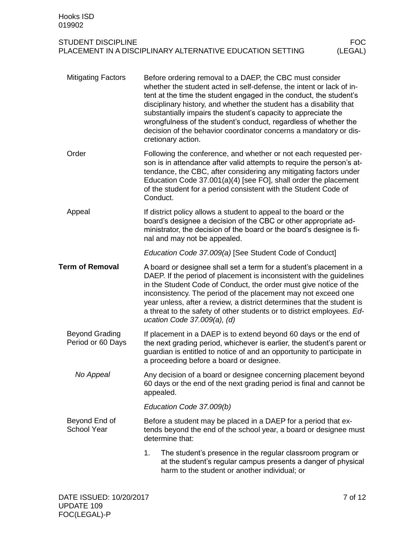| <b>Mitigating Factors</b>                  | Before ordering removal to a DAEP, the CBC must consider<br>whether the student acted in self-defense, the intent or lack of in-<br>tent at the time the student engaged in the conduct, the student's<br>disciplinary history, and whether the student has a disability that<br>substantially impairs the student's capacity to appreciate the<br>wrongfulness of the student's conduct, regardless of whether the<br>decision of the behavior coordinator concerns a mandatory or dis-<br>cretionary action. |
|--------------------------------------------|----------------------------------------------------------------------------------------------------------------------------------------------------------------------------------------------------------------------------------------------------------------------------------------------------------------------------------------------------------------------------------------------------------------------------------------------------------------------------------------------------------------|
| Order                                      | Following the conference, and whether or not each requested per-<br>son is in attendance after valid attempts to require the person's at-<br>tendance, the CBC, after considering any mitigating factors under<br>Education Code 37.001(a)(4) [see FO], shall order the placement<br>of the student for a period consistent with the Student Code of<br>Conduct.                                                                                                                                               |
| Appeal                                     | If district policy allows a student to appeal to the board or the<br>board's designee a decision of the CBC or other appropriate ad-<br>ministrator, the decision of the board or the board's designee is fi-<br>nal and may not be appealed.                                                                                                                                                                                                                                                                  |
|                                            | Education Code 37.009(a) [See Student Code of Conduct]                                                                                                                                                                                                                                                                                                                                                                                                                                                         |
| <b>Term of Removal</b>                     | A board or designee shall set a term for a student's placement in a<br>DAEP. If the period of placement is inconsistent with the guidelines<br>in the Student Code of Conduct, the order must give notice of the<br>inconsistency. The period of the placement may not exceed one<br>year unless, after a review, a district determines that the student is<br>a threat to the safety of other students or to district employees. Ed-<br>ucation Code $37.009(a)$ , (d)                                        |
| <b>Beyond Grading</b><br>Period or 60 Days | If placement in a DAEP is to extend beyond 60 days or the end of<br>the next grading period, whichever is earlier, the student's parent or<br>guardian is entitled to notice of and an opportunity to participate in<br>a proceeding before a board or designee.                                                                                                                                                                                                                                               |
| No Appeal                                  | Any decision of a board or designee concerning placement beyond<br>60 days or the end of the next grading period is final and cannot be<br>appealed.                                                                                                                                                                                                                                                                                                                                                           |
|                                            | Education Code 37.009(b)                                                                                                                                                                                                                                                                                                                                                                                                                                                                                       |
| Beyond End of<br><b>School Year</b>        | Before a student may be placed in a DAEP for a period that ex-<br>tends beyond the end of the school year, a board or designee must<br>determine that:                                                                                                                                                                                                                                                                                                                                                         |
|                                            | 1.<br>The student's presence in the regular classroom program or<br>at the student's regular campus presents a danger of physical<br>harm to the student or another individual; or                                                                                                                                                                                                                                                                                                                             |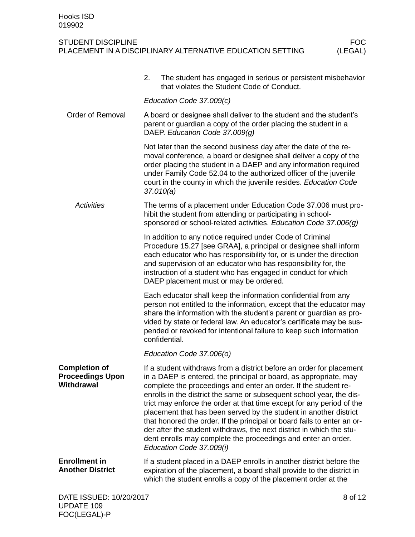#### STUDENT DISCIPLINE<br>PLACEMENT IN A DISCIPLINARY ALTERNATIVE EDUCATION SETTING (LEGAL) PLACEMENT IN A DISCIPLINARY ALTERNATIVE EDUCATION SETTING

|                                                                      | 2. | The student has engaged in serious or persistent misbehavior<br>that violates the Student Code of Conduct.                                                                                                                                                                                                                                                                                                                                                                                                                                                                                                                                                                         |         |
|----------------------------------------------------------------------|----|------------------------------------------------------------------------------------------------------------------------------------------------------------------------------------------------------------------------------------------------------------------------------------------------------------------------------------------------------------------------------------------------------------------------------------------------------------------------------------------------------------------------------------------------------------------------------------------------------------------------------------------------------------------------------------|---------|
|                                                                      |    | Education Code 37.009(c)                                                                                                                                                                                                                                                                                                                                                                                                                                                                                                                                                                                                                                                           |         |
| <b>Order of Removal</b>                                              |    | A board or designee shall deliver to the student and the student's<br>parent or guardian a copy of the order placing the student in a<br>DAEP. Education Code 37.009(g)                                                                                                                                                                                                                                                                                                                                                                                                                                                                                                            |         |
|                                                                      |    | Not later than the second business day after the date of the re-<br>moval conference, a board or designee shall deliver a copy of the<br>order placing the student in a DAEP and any information required<br>under Family Code 52.04 to the authorized officer of the juvenile<br>court in the county in which the juvenile resides. Education Code<br>37.010(a)                                                                                                                                                                                                                                                                                                                   |         |
| <b>Activities</b>                                                    |    | The terms of a placement under Education Code 37.006 must pro-<br>hibit the student from attending or participating in school-<br>sponsored or school-related activities. Education Code 37.006(g)                                                                                                                                                                                                                                                                                                                                                                                                                                                                                 |         |
|                                                                      |    | In addition to any notice required under Code of Criminal<br>Procedure 15.27 [see GRAA], a principal or designee shall inform<br>each educator who has responsibility for, or is under the direction<br>and supervision of an educator who has responsibility for, the<br>instruction of a student who has engaged in conduct for which<br>DAEP placement must or may be ordered.                                                                                                                                                                                                                                                                                                  |         |
|                                                                      |    | Each educator shall keep the information confidential from any<br>person not entitled to the information, except that the educator may<br>share the information with the student's parent or guardian as pro-<br>vided by state or federal law. An educator's certificate may be sus-<br>pended or revoked for intentional failure to keep such information<br>confidential.                                                                                                                                                                                                                                                                                                       |         |
|                                                                      |    | Education Code 37.006(o)                                                                                                                                                                                                                                                                                                                                                                                                                                                                                                                                                                                                                                                           |         |
| <b>Completion of</b><br><b>Proceedings Upon</b><br><b>Withdrawal</b> |    | If a student withdraws from a district before an order for placement<br>in a DAEP is entered, the principal or board, as appropriate, may<br>complete the proceedings and enter an order. If the student re-<br>enrolls in the district the same or subsequent school year, the dis-<br>trict may enforce the order at that time except for any period of the<br>placement that has been served by the student in another district<br>that honored the order. If the principal or board fails to enter an or-<br>der after the student withdraws, the next district in which the stu-<br>dent enrolls may complete the proceedings and enter an order.<br>Education Code 37.009(i) |         |
| <b>Enrollment in</b><br><b>Another District</b>                      |    | If a student placed in a DAEP enrolls in another district before the<br>expiration of the placement, a board shall provide to the district in<br>which the student enrolls a copy of the placement order at the                                                                                                                                                                                                                                                                                                                                                                                                                                                                    |         |
| DATE ISSUED: 10/20/2017                                              |    |                                                                                                                                                                                                                                                                                                                                                                                                                                                                                                                                                                                                                                                                                    | 8 of 12 |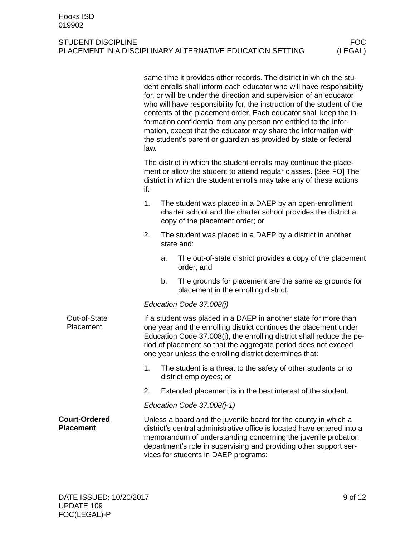|                                          | same time it provides other records. The district in which the stu-<br>dent enrolls shall inform each educator who will have responsibility<br>for, or will be under the direction and supervision of an educator<br>who will have responsibility for, the instruction of the student of the<br>contents of the placement order. Each educator shall keep the in-<br>formation confidential from any person not entitled to the infor-<br>mation, except that the educator may share the information with<br>the student's parent or guardian as provided by state or federal<br>law. |
|------------------------------------------|---------------------------------------------------------------------------------------------------------------------------------------------------------------------------------------------------------------------------------------------------------------------------------------------------------------------------------------------------------------------------------------------------------------------------------------------------------------------------------------------------------------------------------------------------------------------------------------|
|                                          | The district in which the student enrolls may continue the place-<br>ment or allow the student to attend regular classes. [See FO] The<br>district in which the student enrolls may take any of these actions<br>if:                                                                                                                                                                                                                                                                                                                                                                  |
|                                          | 1.<br>The student was placed in a DAEP by an open-enrollment<br>charter school and the charter school provides the district a<br>copy of the placement order; or                                                                                                                                                                                                                                                                                                                                                                                                                      |
|                                          | 2.<br>The student was placed in a DAEP by a district in another<br>state and:                                                                                                                                                                                                                                                                                                                                                                                                                                                                                                         |
|                                          | The out-of-state district provides a copy of the placement<br>a.<br>order; and                                                                                                                                                                                                                                                                                                                                                                                                                                                                                                        |
|                                          | b.<br>The grounds for placement are the same as grounds for<br>placement in the enrolling district.                                                                                                                                                                                                                                                                                                                                                                                                                                                                                   |
|                                          | Education Code 37.008(j)                                                                                                                                                                                                                                                                                                                                                                                                                                                                                                                                                              |
| Out-of-State<br>Placement                | If a student was placed in a DAEP in another state for more than<br>one year and the enrolling district continues the placement under<br>Education Code 37.008(j), the enrolling district shall reduce the pe-<br>riod of placement so that the aggregate period does not exceed<br>one year unless the enrolling district determines that:                                                                                                                                                                                                                                           |
|                                          | The student is a threat to the safety of other students or to<br>1.<br>district employees; or                                                                                                                                                                                                                                                                                                                                                                                                                                                                                         |
|                                          | 2.<br>Extended placement is in the best interest of the student.                                                                                                                                                                                                                                                                                                                                                                                                                                                                                                                      |
|                                          | Education Code $37.008(j-1)$                                                                                                                                                                                                                                                                                                                                                                                                                                                                                                                                                          |
| <b>Court-Ordered</b><br><b>Placement</b> | Unless a board and the juvenile board for the county in which a<br>district's central administrative office is located have entered into a<br>memorandum of understanding concerning the juvenile probation<br>department's role in supervising and providing other support ser-<br>vices for students in DAEP programs:                                                                                                                                                                                                                                                              |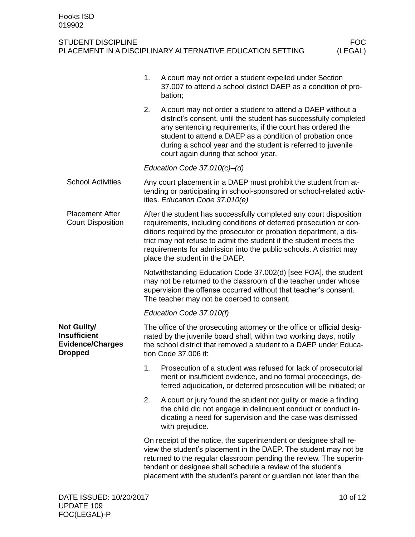|                                                                                        | 1.                                                                                                                                                                                                                                                                                                                                                                                           | A court may not order a student expelled under Section<br>37.007 to attend a school district DAEP as a condition of pro-<br>bation;                                                                                                                                                                                                                              |  |  |  |  |
|----------------------------------------------------------------------------------------|----------------------------------------------------------------------------------------------------------------------------------------------------------------------------------------------------------------------------------------------------------------------------------------------------------------------------------------------------------------------------------------------|------------------------------------------------------------------------------------------------------------------------------------------------------------------------------------------------------------------------------------------------------------------------------------------------------------------------------------------------------------------|--|--|--|--|
|                                                                                        | 2.                                                                                                                                                                                                                                                                                                                                                                                           | A court may not order a student to attend a DAEP without a<br>district's consent, until the student has successfully completed<br>any sentencing requirements, if the court has ordered the<br>student to attend a DAEP as a condition of probation once<br>during a school year and the student is referred to juvenile<br>court again during that school year. |  |  |  |  |
|                                                                                        | Education Code $37.010(c)$ –(d)                                                                                                                                                                                                                                                                                                                                                              |                                                                                                                                                                                                                                                                                                                                                                  |  |  |  |  |
| <b>School Activities</b>                                                               | Any court placement in a DAEP must prohibit the student from at-<br>tending or participating in school-sponsored or school-related activ-<br>ities. Education Code 37.010(e)                                                                                                                                                                                                                 |                                                                                                                                                                                                                                                                                                                                                                  |  |  |  |  |
| <b>Placement After</b><br><b>Court Disposition</b>                                     | After the student has successfully completed any court disposition<br>requirements, including conditions of deferred prosecution or con-<br>ditions required by the prosecutor or probation department, a dis-<br>trict may not refuse to admit the student if the student meets the<br>requirements for admission into the public schools. A district may<br>place the student in the DAEP. |                                                                                                                                                                                                                                                                                                                                                                  |  |  |  |  |
|                                                                                        | Notwithstanding Education Code 37.002(d) [see FOA], the student<br>may not be returned to the classroom of the teacher under whose<br>supervision the offense occurred without that teacher's consent.<br>The teacher may not be coerced to consent.                                                                                                                                         |                                                                                                                                                                                                                                                                                                                                                                  |  |  |  |  |
|                                                                                        | Education Code 37.010(f)                                                                                                                                                                                                                                                                                                                                                                     |                                                                                                                                                                                                                                                                                                                                                                  |  |  |  |  |
| <b>Not Guilty/</b><br><b>Insufficient</b><br><b>Evidence/Charges</b><br><b>Dropped</b> | The office of the prosecuting attorney or the office or official desig-<br>nated by the juvenile board shall, within two working days, notify<br>the school district that removed a student to a DAEP under Educa-<br>tion Code 37.006 if:                                                                                                                                                   |                                                                                                                                                                                                                                                                                                                                                                  |  |  |  |  |
|                                                                                        | 1.                                                                                                                                                                                                                                                                                                                                                                                           | Prosecution of a student was refused for lack of prosecutorial<br>merit or insufficient evidence, and no formal proceedings, de-<br>ferred adjudication, or deferred prosecution will be initiated; or                                                                                                                                                           |  |  |  |  |
|                                                                                        | 2.                                                                                                                                                                                                                                                                                                                                                                                           | A court or jury found the student not guilty or made a finding<br>the child did not engage in delinquent conduct or conduct in-<br>dicating a need for supervision and the case was dismissed<br>with prejudice.                                                                                                                                                 |  |  |  |  |
|                                                                                        | On receipt of the notice, the superintendent or designee shall re-<br>view the student's placement in the DAEP. The student may not be<br>returned to the regular classroom pending the review. The superin-<br>tendent or designee shall schedule a review of the student's<br>placement with the student's parent or guardian not later than the                                           |                                                                                                                                                                                                                                                                                                                                                                  |  |  |  |  |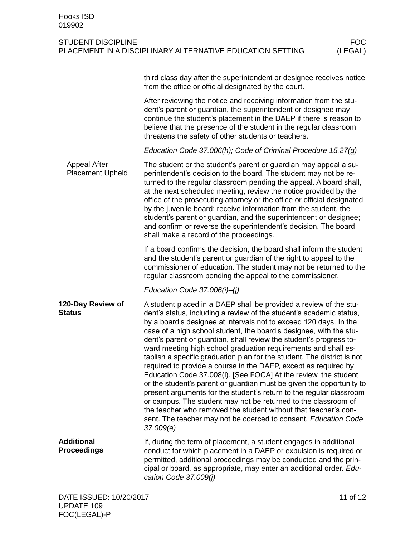|                                                | third class day after the superintendent or designee receives notice<br>from the office or official designated by the court.                                                                                                                                                                                                                                                                                                                                                                                                                                                                                                                                                                                                                                                                                                                                                                                                                                                                                     |  |  |  |  |
|------------------------------------------------|------------------------------------------------------------------------------------------------------------------------------------------------------------------------------------------------------------------------------------------------------------------------------------------------------------------------------------------------------------------------------------------------------------------------------------------------------------------------------------------------------------------------------------------------------------------------------------------------------------------------------------------------------------------------------------------------------------------------------------------------------------------------------------------------------------------------------------------------------------------------------------------------------------------------------------------------------------------------------------------------------------------|--|--|--|--|
|                                                | After reviewing the notice and receiving information from the stu-<br>dent's parent or guardian, the superintendent or designee may<br>continue the student's placement in the DAEP if there is reason to<br>believe that the presence of the student in the regular classroom<br>threatens the safety of other students or teachers.                                                                                                                                                                                                                                                                                                                                                                                                                                                                                                                                                                                                                                                                            |  |  |  |  |
|                                                | Education Code 37.006(h); Code of Criminal Procedure 15.27(g)                                                                                                                                                                                                                                                                                                                                                                                                                                                                                                                                                                                                                                                                                                                                                                                                                                                                                                                                                    |  |  |  |  |
| <b>Appeal After</b><br><b>Placement Upheld</b> | The student or the student's parent or guardian may appeal a su-<br>perintendent's decision to the board. The student may not be re-<br>turned to the regular classroom pending the appeal. A board shall,<br>at the next scheduled meeting, review the notice provided by the<br>office of the prosecuting attorney or the office or official designated<br>by the juvenile board; receive information from the student, the<br>student's parent or guardian, and the superintendent or designee;<br>and confirm or reverse the superintendent's decision. The board<br>shall make a record of the proceedings.                                                                                                                                                                                                                                                                                                                                                                                                 |  |  |  |  |
|                                                | If a board confirms the decision, the board shall inform the student<br>and the student's parent or guardian of the right to appeal to the<br>commissioner of education. The student may not be returned to the<br>regular classroom pending the appeal to the commissioner.                                                                                                                                                                                                                                                                                                                                                                                                                                                                                                                                                                                                                                                                                                                                     |  |  |  |  |
|                                                | Education Code $37.006(i)$ -(j)                                                                                                                                                                                                                                                                                                                                                                                                                                                                                                                                                                                                                                                                                                                                                                                                                                                                                                                                                                                  |  |  |  |  |
| 120-Day Review of<br><b>Status</b>             | A student placed in a DAEP shall be provided a review of the stu-<br>dent's status, including a review of the student's academic status,<br>by a board's designee at intervals not to exceed 120 days. In the<br>case of a high school student, the board's designee, with the stu-<br>dent's parent or guardian, shall review the student's progress to-<br>ward meeting high school graduation requirements and shall es-<br>tablish a specific graduation plan for the student. The district is not<br>required to provide a course in the DAEP, except as required by<br>Education Code 37.008(I). [See FOCA] At the review, the student<br>or the student's parent or guardian must be given the opportunity to<br>present arguments for the student's return to the regular classroom<br>or campus. The student may not be returned to the classroom of<br>the teacher who removed the student without that teacher's con-<br>sent. The teacher may not be coerced to consent. Education Code<br>37.009(e) |  |  |  |  |
| <b>Additional</b><br><b>Proceedings</b>        | If, during the term of placement, a student engages in additional<br>conduct for which placement in a DAEP or expulsion is required or<br>permitted, additional proceedings may be conducted and the prin-<br>cipal or board, as appropriate, may enter an additional order. Edu-<br>cation Code 37.009(j)                                                                                                                                                                                                                                                                                                                                                                                                                                                                                                                                                                                                                                                                                                       |  |  |  |  |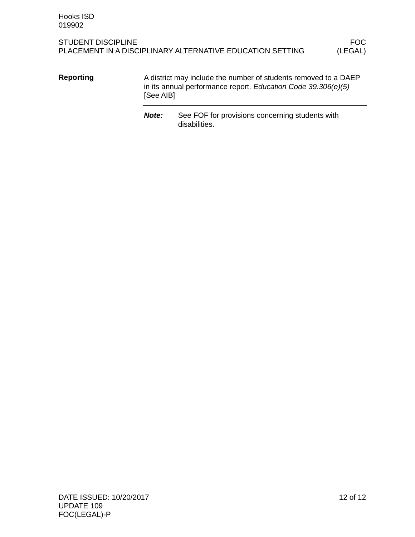A district may include the number of students removed to a DAEP in its annual performance report. *Education Code 39.306(e)(5)* [See AIB] **Reporting**

> *Note:* See FOF for provisions concerning students with disabilities.